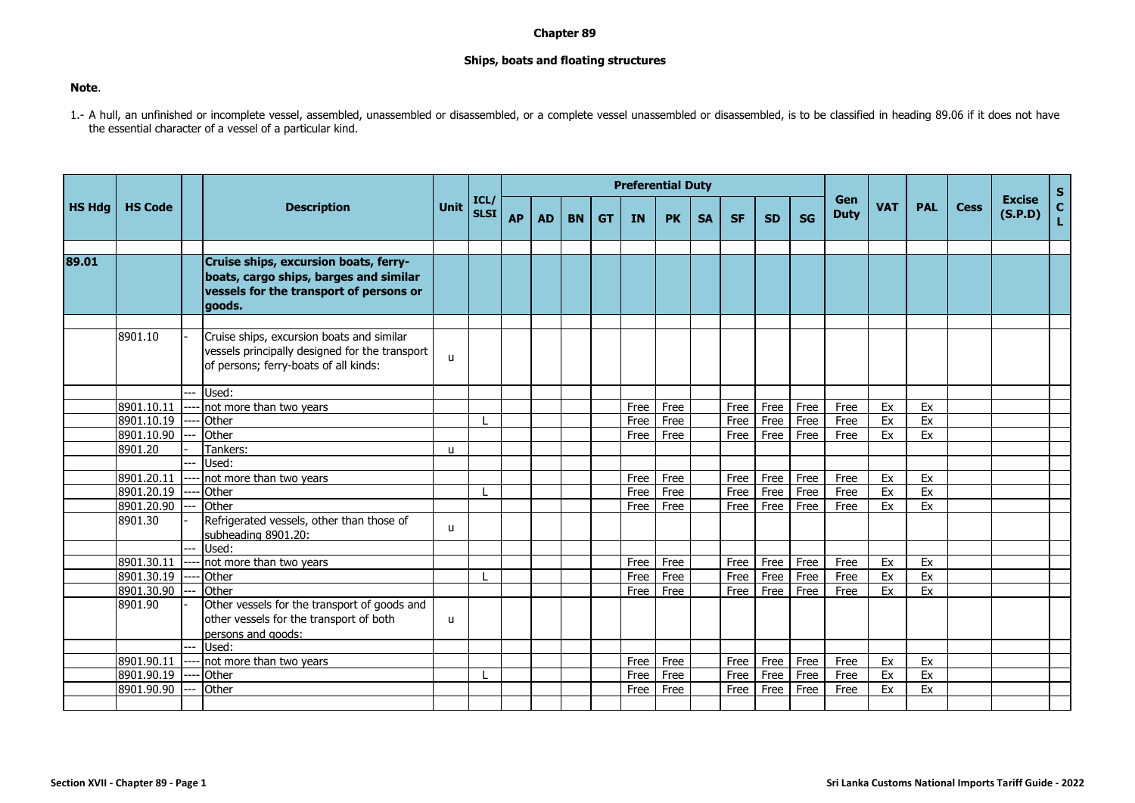## **Chapter 89**

## **Ships, boats and floating structures**

## **Note**.

1.- A hull, an unfinished or incomplete vessel, assembled, unassembled or disassembled or assembled or disassembled, is to be classified in heading 89.06 if it does not have the essential character of a vessel of a particular kind.

|               |                |      | <b>Description</b>                                                                                                                   |              |                     |           |           |           |           |           | <b>Preferential Duty</b> |           |           |           |           |                    |            |            |             |                          | S                  |
|---------------|----------------|------|--------------------------------------------------------------------------------------------------------------------------------------|--------------|---------------------|-----------|-----------|-----------|-----------|-----------|--------------------------|-----------|-----------|-----------|-----------|--------------------|------------|------------|-------------|--------------------------|--------------------|
| <b>HS Hdg</b> | <b>HS Code</b> |      |                                                                                                                                      | <b>Unit</b>  | ICL/<br><b>SLSI</b> | <b>AP</b> | <b>AD</b> | <b>BN</b> | <b>GT</b> | <b>IN</b> | <b>PK</b>                | <b>SA</b> | <b>SF</b> | <b>SD</b> | <b>SG</b> | Gen<br><b>Duty</b> | <b>VAT</b> | <b>PAL</b> | <b>Cess</b> | <b>Excise</b><br>(S.P.D) | $\mathbf{C}$<br>Ĺ. |
|               |                |      |                                                                                                                                      |              |                     |           |           |           |           |           |                          |           |           |           |           |                    |            |            |             |                          |                    |
| 89.01         |                |      | Cruise ships, excursion boats, ferry-<br>boats, cargo ships, barges and similar<br>vessels for the transport of persons or<br>goods. |              |                     |           |           |           |           |           |                          |           |           |           |           |                    |            |            |             |                          |                    |
|               |                |      |                                                                                                                                      |              |                     |           |           |           |           |           |                          |           |           |           |           |                    |            |            |             |                          |                    |
|               | 8901.10        |      | Cruise ships, excursion boats and similar<br>vessels principally designed for the transport<br>of persons; ferry-boats of all kinds: | $\mathsf{u}$ |                     |           |           |           |           |           |                          |           |           |           |           |                    |            |            |             |                          |                    |
|               |                | $-1$ | Used:                                                                                                                                |              |                     |           |           |           |           |           |                          |           |           |           |           |                    |            |            |             |                          |                    |
|               | 8901.10.11     |      | --- not more than two years                                                                                                          |              |                     |           |           |           |           | Free      | Free                     |           | Free      | Free      | Free      | Free               | Ex         | Ex         |             |                          |                    |
|               | 8901.10.19     |      | --- Other                                                                                                                            |              |                     |           |           |           |           | Free      | Free                     |           | Free      | Free      | Free      | Free               | Ex         | Ex         |             |                          |                    |
|               | 8901.10.90     |      | Other                                                                                                                                |              |                     |           |           |           |           | Free      | Free                     |           | Free      | Free      | Free      | Free               | Ex         | Ex         |             |                          |                    |
|               | 8901.20        |      | Tankers:                                                                                                                             | u            |                     |           |           |           |           |           |                          |           |           |           |           |                    |            |            |             |                          |                    |
|               |                |      | Used:                                                                                                                                |              |                     |           |           |           |           |           |                          |           |           |           |           |                    |            |            |             |                          |                    |
|               | 8901.20.11     |      | not more than two years                                                                                                              |              |                     |           |           |           |           | Free      | Free                     |           | Free      | Free      | Free      | Free               | Ex         | Ex         |             |                          |                    |
|               | 8901.20.19     |      | Other                                                                                                                                |              |                     |           |           |           |           | Free      | Free                     |           | Free      | Free      | Free      | Free               | Ex         | Ex         |             |                          |                    |
|               | 8901.20.90     |      | Other                                                                                                                                |              |                     |           |           |           |           | Free      | Free                     |           | Free      | Free      | Free      | Free               | Ex         | Ex         |             |                          |                    |
|               | 8901.30        |      | Refrigerated vessels, other than those of<br>subheading 8901.20:                                                                     | $\mathbf{u}$ |                     |           |           |           |           |           |                          |           |           |           |           |                    |            |            |             |                          |                    |
|               |                |      | Used:                                                                                                                                |              |                     |           |           |           |           |           |                          |           |           |           |           |                    |            |            |             |                          |                    |
|               | 8901.30.11     |      | not more than two years                                                                                                              |              |                     |           |           |           |           | Free      | Free                     |           | Free      | Free      | Free      | Free               | Ex         | Ex         |             |                          |                    |
|               | 8901.30.19     |      | Other                                                                                                                                |              |                     |           |           |           |           | Free      | Free                     |           | Free      | Free      | Free      | Free               | Ex         | Ex         |             |                          |                    |
|               | 8901.30.90     |      | Other                                                                                                                                |              |                     |           |           |           |           | Free      | Free                     |           | Free      | Free      | Free      | Free               | Ex         | Ex         |             |                          |                    |
|               | 8901.90        |      | Other vessels for the transport of goods and<br>other vessels for the transport of both<br>persons and goods:                        | u            |                     |           |           |           |           |           |                          |           |           |           |           |                    |            |            |             |                          |                    |
|               |                |      | Used:                                                                                                                                |              |                     |           |           |           |           |           |                          |           |           |           |           |                    |            |            |             |                          |                    |
|               | 8901.90.11     |      | not more than two years                                                                                                              |              |                     |           |           |           |           | Free      | Free                     |           | Free      | Free      | Free      | Free               | Ex         | Ex         |             |                          |                    |
|               | 8901.90.19     |      | Other                                                                                                                                |              |                     |           |           |           |           | Free      | Free                     |           | Free      | Free      | Free      | Free               | Ex         | Ex         |             |                          |                    |
|               | 8901.90.90     |      | Other                                                                                                                                |              |                     |           |           |           |           | Free      | Free                     |           | Free      | Free      | Free      | Free               | Ex         | Ex         |             |                          |                    |
|               |                |      |                                                                                                                                      |              |                     |           |           |           |           |           |                          |           |           |           |           |                    |            |            |             |                          |                    |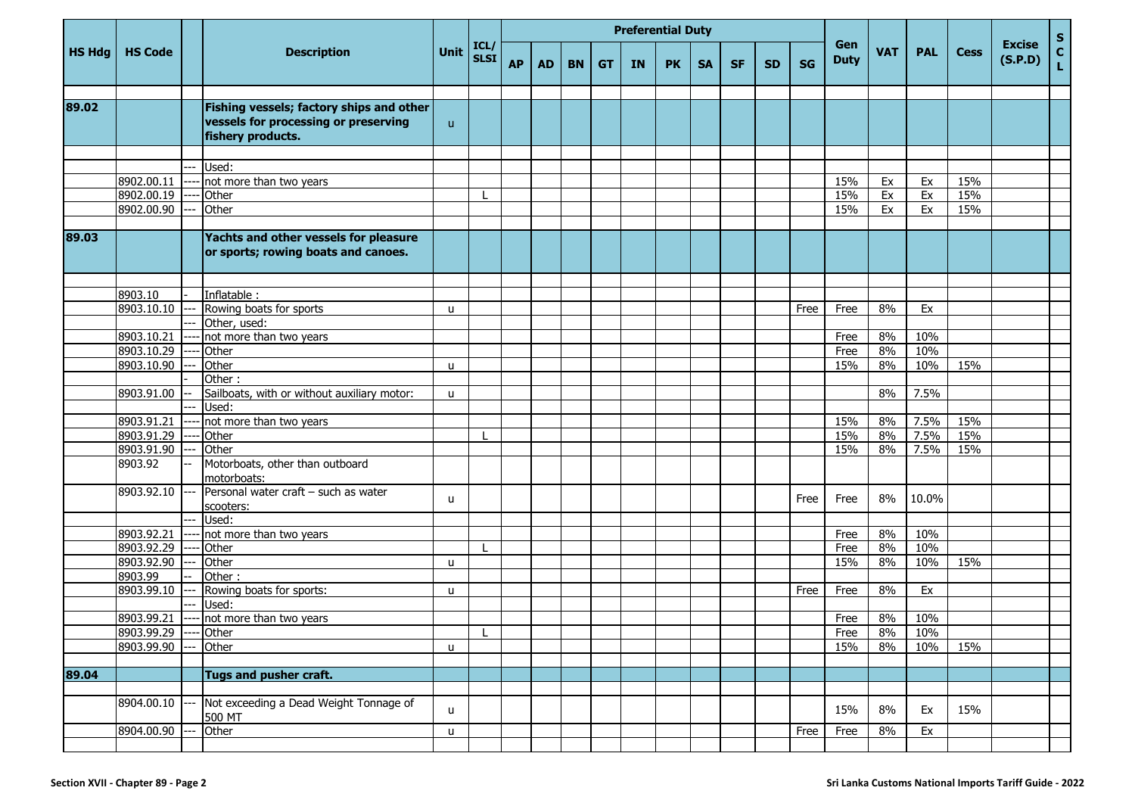|               |                                     |    | <b>Description</b>                                                                                    |              |                     |           |           |           |           |           | <b>Preferential Duty</b> |           |           |           |             |                                  |            |             |                          |                                 |  |
|---------------|-------------------------------------|----|-------------------------------------------------------------------------------------------------------|--------------|---------------------|-----------|-----------|-----------|-----------|-----------|--------------------------|-----------|-----------|-----------|-------------|----------------------------------|------------|-------------|--------------------------|---------------------------------|--|
| <b>HS Hdg</b> | <b>HS Code</b>                      |    |                                                                                                       | <b>Unit</b>  | ICL/<br><b>SLSI</b> | <b>AP</b> | <b>AD</b> | <b>BN</b> | <b>GT</b> | <b>IN</b> | <b>PK</b>                | <b>SA</b> | <b>SF</b> | <b>SD</b> | <b>SG</b>   | Gen<br><b>VAT</b><br><b>Duty</b> | <b>PAL</b> | <b>Cess</b> | <b>Excise</b><br>(S.P.D) | $\frac{{\sf s}}{{\sf c}}$<br>L. |  |
|               |                                     |    |                                                                                                       |              |                     |           |           |           |           |           |                          |           |           |           |             |                                  |            |             |                          |                                 |  |
| 89.02         |                                     |    | Fishing vessels; factory ships and other<br>vessels for processing or preserving<br>fishery products. | $\mathsf{u}$ |                     |           |           |           |           |           |                          |           |           |           |             |                                  |            |             |                          |                                 |  |
|               |                                     |    |                                                                                                       |              |                     |           |           |           |           |           |                          |           |           |           |             |                                  |            |             |                          |                                 |  |
|               |                                     |    | Used:                                                                                                 |              |                     |           |           |           |           |           |                          |           |           |           |             |                                  |            |             |                          |                                 |  |
|               | 8902.00.11<br>8902.00.19            |    | not more than two years<br>Other                                                                      |              |                     |           |           |           |           |           |                          |           |           |           |             | 15%<br>15%                       | Ex<br>Ex   | Ex<br>Ex    | 15%<br>15%               |                                 |  |
|               | 8902.00.90                          |    | Other                                                                                                 |              |                     |           |           |           |           |           |                          |           |           |           |             | 15%                              | Ex         | Ex          | 15%                      |                                 |  |
|               |                                     |    |                                                                                                       |              |                     |           |           |           |           |           |                          |           |           |           |             |                                  |            |             |                          |                                 |  |
| 89.03         |                                     |    | Yachts and other vessels for pleasure<br>or sports; rowing boats and canoes.                          |              |                     |           |           |           |           |           |                          |           |           |           |             |                                  |            |             |                          |                                 |  |
|               |                                     |    |                                                                                                       |              |                     |           |           |           |           |           |                          |           |           |           |             |                                  |            |             |                          |                                 |  |
|               | 8903.10                             |    | Inflatable:                                                                                           |              |                     |           |           |           |           |           |                          |           |           |           |             |                                  |            |             |                          |                                 |  |
|               | 8903.10.10                          |    | Rowing boats for sports                                                                               | u            |                     |           |           |           |           |           |                          |           |           |           | Free        | Free                             | 8%         | Ex          |                          |                                 |  |
|               |                                     |    | Other, used:                                                                                          |              |                     |           |           |           |           |           |                          |           |           |           |             |                                  |            |             |                          |                                 |  |
|               | 8903.10.21                          |    | not more than two years                                                                               |              |                     |           |           |           |           |           |                          |           |           |           |             | Free                             | 8%         | 10%         |                          |                                 |  |
|               | 8903.10.29                          |    | Other                                                                                                 |              |                     |           |           |           |           |           |                          |           |           |           |             | Free                             | 8%         | 10%         |                          |                                 |  |
|               | 8903.10.90                          |    | Other                                                                                                 | u            |                     |           |           |           |           |           |                          |           |           |           |             | 15%                              | 8%         | 10%         | 15%                      |                                 |  |
|               |                                     |    | Other:                                                                                                |              |                     |           |           |           |           |           |                          |           |           |           |             |                                  |            |             |                          |                                 |  |
|               | 8903.91.00                          |    | Sailboats, with or without auxiliary motor:<br>Used:                                                  | u            |                     |           |           |           |           |           |                          |           |           |           |             |                                  | 8%         | 7.5%        |                          |                                 |  |
|               | 8903.91.21                          |    |                                                                                                       |              |                     |           |           |           |           |           |                          |           |           |           |             | 15%                              | 8%         | 7.5%        | 15%                      |                                 |  |
|               | 8903.91.29                          |    | not more than two years<br>Other                                                                      |              |                     |           |           |           |           |           |                          |           |           |           |             | 15%                              | 8%         | 7.5%        | 15%                      |                                 |  |
|               | 8903.91.90                          |    | Other                                                                                                 |              |                     |           |           |           |           |           |                          |           |           |           |             | 15%                              | 8%         | 7.5%        | 15%                      |                                 |  |
|               | 8903.92                             |    | Motorboats, other than outboard<br>motorboats:                                                        |              |                     |           |           |           |           |           |                          |           |           |           |             |                                  |            |             |                          |                                 |  |
|               | 8903.92.10                          |    | Personal water craft - such as water<br>scooters:                                                     | u            |                     |           |           |           |           |           |                          |           |           |           | Free        | Free                             | 8%         | 10.0%       |                          |                                 |  |
|               |                                     |    | Used:                                                                                                 |              |                     |           |           |           |           |           |                          |           |           |           |             |                                  |            |             |                          |                                 |  |
|               | 8903.92.21                          |    | not more than two years                                                                               |              |                     |           |           |           |           |           |                          |           |           |           |             | Free                             | 8%         | 10%         |                          |                                 |  |
|               | 8903.92.29                          |    | Other                                                                                                 |              |                     |           |           |           |           |           |                          |           |           |           |             | Free                             | 8%         | 10%         |                          |                                 |  |
|               | 8903.92.90                          |    | Other                                                                                                 | u            |                     |           |           |           |           |           |                          |           |           |           |             | 15%                              | 8%         | 10%         | 15%                      |                                 |  |
|               | 8903.99                             |    | Other:                                                                                                |              |                     |           |           |           |           |           |                          |           |           |           |             |                                  |            |             |                          |                                 |  |
|               | 8903.99.10                          |    | Rowing boats for sports:                                                                              | u            |                     |           |           |           |           |           |                          |           |           |           | Free        | Free                             | 8%         | Ex          |                          |                                 |  |
|               |                                     |    | Used:                                                                                                 |              |                     |           |           |           |           |           |                          |           |           |           |             |                                  |            |             |                          |                                 |  |
|               | 8903.99.21<br>8903.99.29 ---- Other |    | ---- not more than two years                                                                          |              | $\mathbf{I}$        |           |           |           |           |           |                          |           |           |           |             | Free                             | 8%<br>8%   | 10%<br>10%  |                          |                                 |  |
|               | 8903.99.90                          | ÷÷ | Other                                                                                                 |              |                     |           |           |           |           |           |                          |           |           |           |             | Free<br>15%                      | 8%         | 10%         | 15%                      |                                 |  |
|               |                                     |    |                                                                                                       | u            |                     |           |           |           |           |           |                          |           |           |           |             |                                  |            |             |                          |                                 |  |
| 89.04         |                                     |    | Tugs and pusher craft.                                                                                |              |                     |           |           |           |           |           |                          |           |           |           |             |                                  |            |             |                          |                                 |  |
|               |                                     |    |                                                                                                       |              |                     |           |           |           |           |           |                          |           |           |           |             |                                  |            |             |                          |                                 |  |
|               | 8904.00.10                          |    | Not exceeding a Dead Weight Tonnage of<br>500 MT                                                      | $\mathsf{u}$ |                     |           |           |           |           |           |                          |           |           |           |             | 15%                              | 8%         | Ex          | 15%                      |                                 |  |
|               | 8904.00.90                          |    | Other                                                                                                 | u            |                     |           |           |           |           |           |                          |           |           |           | <b>Free</b> | Free                             | 8%         | Ex          |                          |                                 |  |
|               |                                     |    |                                                                                                       |              |                     |           |           |           |           |           |                          |           |           |           |             |                                  |            |             |                          |                                 |  |
|               |                                     |    |                                                                                                       |              |                     |           |           |           |           |           |                          |           |           |           |             |                                  |            |             |                          |                                 |  |